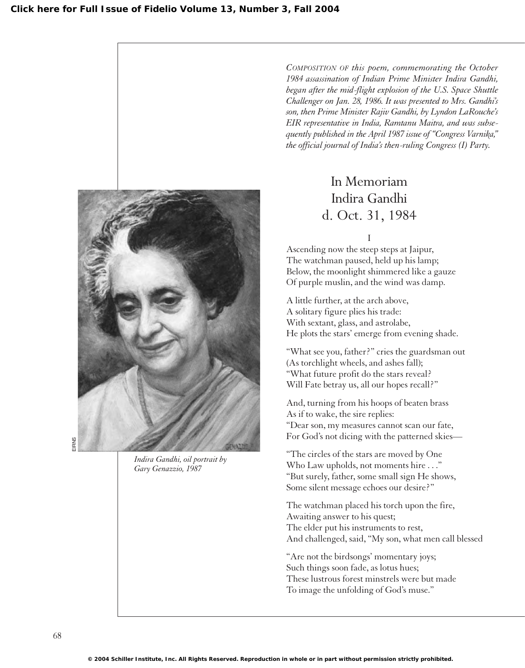

*Indira Gandhi, oil portrait by Gary Genazzio, 1987*

*COMPOSITION OF this poem, commemorating the October 1984 assassination of Indian Prime Minister Indira Gandhi, began after the mid-flight explosion of the U.S. Space Shuttle Challenger on Jan. 28, 1986. It was presented to Mrs. Gandhi's son, then Prime Minister Rajiv Gandhi, by Lyndon LaRouche's EIR representative in India, Ramtanu Maitra, and was subsequently published in the April 1987 issue of "Congress Varnika," the official journal of India's then-ruling Congress (I) Party.*

> In Memoriam Indira Gandhi d. Oct. 31, 1984

> > I

Ascending now the steep steps at Jaipur, The watchman paused, held up his lamp; Below, the moonlight shimmered like a gauze Of purple muslin, and the wind was damp.

A little further, at the arch above, A solitary figure plies his trade: With sextant, glass, and astrolabe, He plots the stars' emerge from evening shade.

"What see you, father?" cries the guardsman out (As torchlight wheels, and ashes fall); "What future profit do the stars reveal? Will Fate betray us, all our hopes recall?"

And, turning from his hoops of beaten brass As if to wake, the sire replies: "Dear son, my measures cannot scan our fate, For God's not dicing with the patterned skies—

"The circles of the stars are moved by One Who Law upholds, not moments hire . . ." "But surely, father, some small sign He shows, Some silent message echoes our desire?"

The watchman placed his torch upon the fire, Awaiting answer to his quest; The elder put his instruments to rest, And challenged, said, "My son, what men call blessed

"Are not the birdsongs' momentary joys; Such things soon fade, as lotus hues; These lustrous forest minstrels were but made To image the unfolding of God's muse."